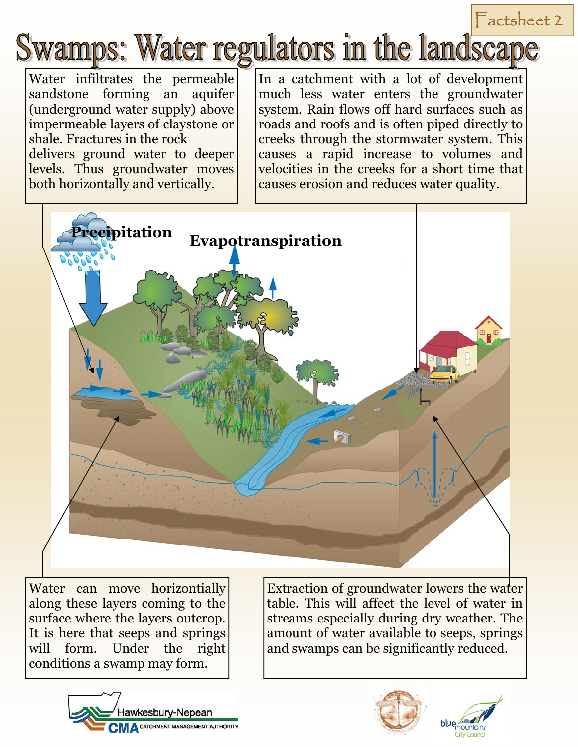## $F$ actsheet 2

## wamps: Water regulators in the landscape

Water infiltrates the permeable sandstone forming an aquifer (underground water supply) above impermeable layers of claystone or shale. Fractures in the rock delivers ground water to deeper levels. Thus groundwater moves both horizontally and vertically.

In a catchment with a lot of development much less water enters the groundwater system. Rain flows off hard surfaces such as roads and roofs and is often piped directly to creeks through the stormwater system. This causes a rapid increase to volumes and velocities in the creeks for a short time that causes erosion and reduces water quality.



Water can move horizontially along these layers coming to the surface where the layers outcrop. It is here that seeps and springs will form. Under the right conditions a swamp may form.

Extraction of groundwater lowers the water table. This will affect the level of water in streams especially during dry weather. The amount of water available to seeps, springs and swamps can be significantly reduced.